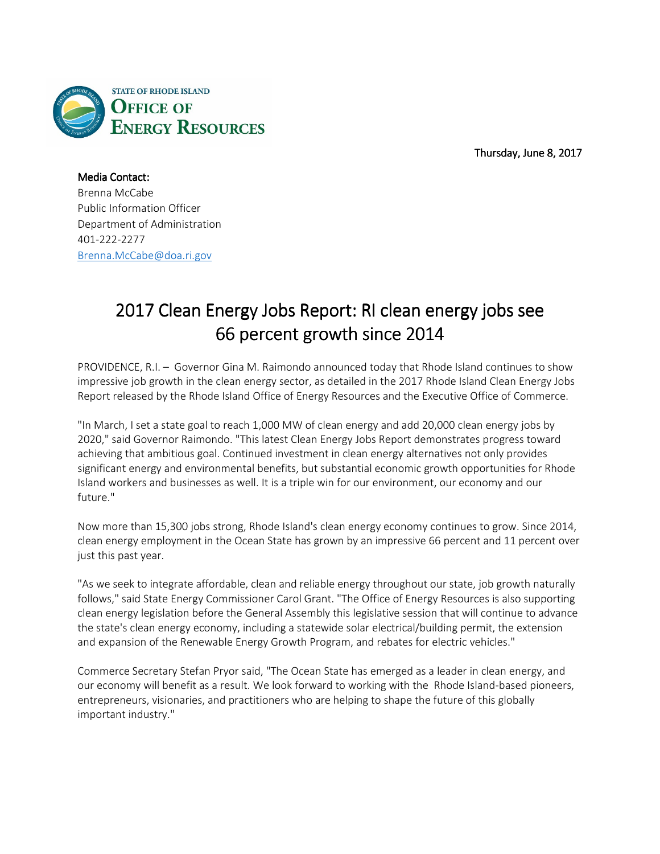

Thursday, June 8, 2017

Media Contact: Brenna McCabe Public Information Officer Department of Administration 401-222-2277 Brenna.McCabe@doa.ri.gov

## 2017 Clean Energy Jobs Report: RI clean energy jobs see 66 percent growth since 2014

PROVIDENCE, R.I. – Governor Gina M. Raimondo announced today that Rhode Island continues to show impressive job growth in the clean energy sector, as detailed in the 2017 Rhode Island Clean Energy Jobs Report released by the Rhode Island Office of Energy Resources and the Executive Office of Commerce.

"In March, I set a state goal to reach 1,000 MW of clean energy and add 20,000 clean energy jobs by 2020," said Governor Raimondo. "This latest Clean Energy Jobs Report demonstrates progress toward achieving that ambitious goal. Continued investment in clean energy alternatives not only provides significant energy and environmental benefits, but substantial economic growth opportunities for Rhode Island workers and businesses as well. It is a triple win for our environment, our economy and our future."

Now more than 15,300 jobs strong, Rhode Island's clean energy economy continues to grow. Since 2014, clean energy employment in the Ocean State has grown by an impressive 66 percent and 11 percent over just this past year.

"As we seek to integrate affordable, clean and reliable energy throughout our state, job growth naturally follows," said State Energy Commissioner Carol Grant. "The Office of Energy Resources is also supporting clean energy legislation before the General Assembly this legislative session that will continue to advance the state's clean energy economy, including a statewide solar electrical/building permit, the extension and expansion of the Renewable Energy Growth Program, and rebates for electric vehicles."

Commerce Secretary Stefan Pryor said, "The Ocean State has emerged as a leader in clean energy, and our economy will benefit as a result. We look forward to working with the Rhode Island-based pioneers, entrepreneurs, visionaries, and practitioners who are helping to shape the future of this globally important industry."